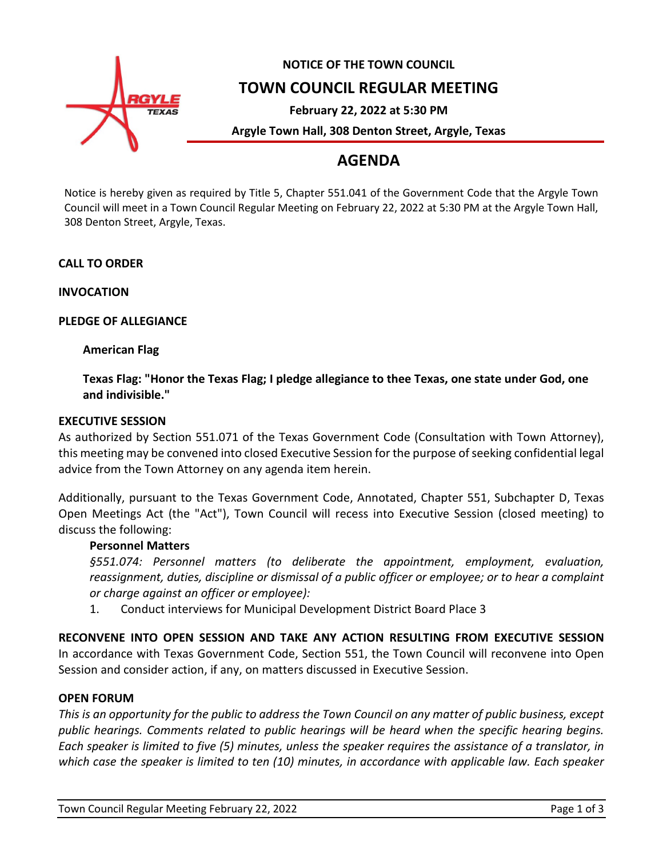

# **NOTICE OF THE TOWN COUNCIL**

### **TOWN COUNCIL REGULAR MEETING**

**February 22, 2022 at 5:30 PM**

**Argyle Town Hall, 308 Denton Street, Argyle, Texas**

## **AGENDA**

Notice is hereby given as required by Title 5, Chapter 551.041 of the Government Code that the Argyle Town Council will meet in a Town Council Regular Meeting on February 22, 2022 at 5:30 PM at the Argyle Town Hall, 308 Denton Street, Argyle, Texas.

**CALL TO ORDER**

**INVOCATION**

**PLEDGE OF ALLEGIANCE**

**American Flag**

**Texas Flag: "Honor the Texas Flag; I pledge allegiance to thee Texas, one state under God, one and indivisible."**

#### **EXECUTIVE SESSION**

As authorized by Section 551.071 of the Texas Government Code (Consultation with Town Attorney), this meeting may be convened into closed Executive Session for the purpose of seeking confidential legal advice from the Town Attorney on any agenda item herein.

Additionally, pursuant to the Texas Government Code, Annotated, Chapter 551, Subchapter D, Texas Open Meetings Act (the "Act"), Town Council will recess into Executive Session (closed meeting) to discuss the following:

#### **Personnel Matters**

*§551.074: Personnel matters (to deliberate the appointment, employment, evaluation, reassignment, duties, discipline or dismissal of a public officer or employee; or to hear a complaint or charge against an officer or employee):*

1. Conduct interviews for Municipal Development District Board Place 3

**RECONVENE INTO OPEN SESSION AND TAKE ANY ACTION RESULTING FROM EXECUTIVE SESSION** In accordance with Texas Government Code, Section 551, the Town Council will reconvene into Open Session and consider action, if any, on matters discussed in Executive Session.

#### **OPEN FORUM**

*This is an opportunity for the public to address the Town Council on any matter of public business, except public hearings. Comments related to public hearings will be heard when the specific hearing begins. Each speaker is limited to five (5) minutes, unless the speaker requires the assistance of a translator, in which case the speaker is limited to ten (10) minutes, in accordance with applicable law. Each speaker*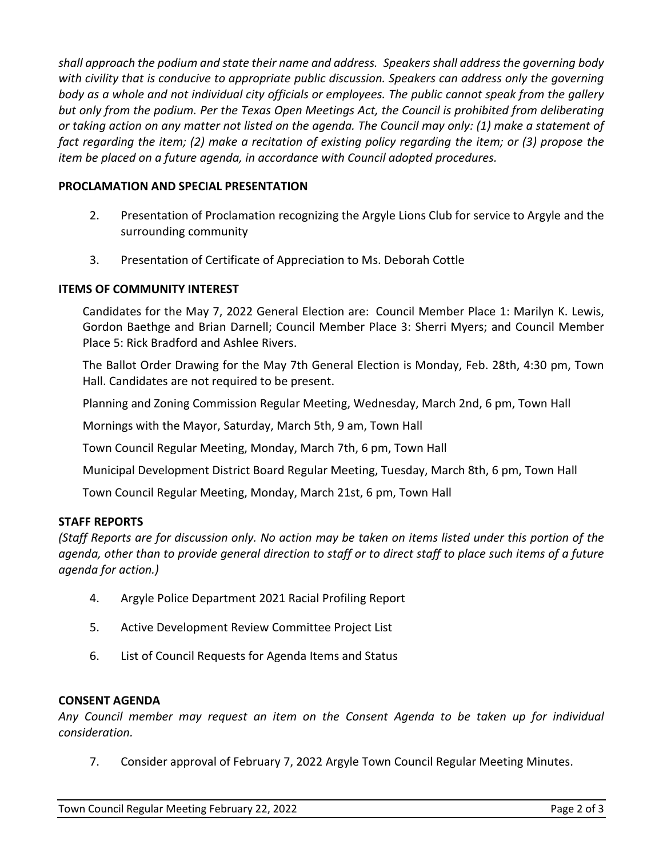*shall approach the podium and state their name and address. Speakers shall address the governing body with civility that is conducive to appropriate public discussion. Speakers can address only the governing body as a whole and not individual city officials or employees. The public cannot speak from the gallery but only from the podium. Per the Texas Open Meetings Act, the Council is prohibited from deliberating or taking action on any matter not listed on the agenda. The Council may only: (1) make a statement of fact regarding the item; (2) make a recitation of existing policy regarding the item; or (3) propose the item be placed on a future agenda, in accordance with Council adopted procedures.*

#### **PROCLAMATION AND SPECIAL PRESENTATION**

- 2. Presentation of Proclamation recognizing the Argyle Lions Club for service to Argyle and the surrounding community
- 3. Presentation of Certificate of Appreciation to Ms. Deborah Cottle

#### **ITEMS OF COMMUNITY INTEREST**

Candidates for the May 7, 2022 General Election are: Council Member Place 1: Marilyn K. Lewis, Gordon Baethge and Brian Darnell; Council Member Place 3: Sherri Myers; and Council Member Place 5: Rick Bradford and Ashlee Rivers.

The Ballot Order Drawing for the May 7th General Election is Monday, Feb. 28th, 4:30 pm, Town Hall. Candidates are not required to be present.

Planning and Zoning Commission Regular Meeting, Wednesday, March 2nd, 6 pm, Town Hall

Mornings with the Mayor, Saturday, March 5th, 9 am, Town Hall

Town Council Regular Meeting, Monday, March 7th, 6 pm, Town Hall

Municipal Development District Board Regular Meeting, Tuesday, March 8th, 6 pm, Town Hall

Town Council Regular Meeting, Monday, March 21st, 6 pm, Town Hall

#### **STAFF REPORTS**

*(Staff Reports are for discussion only. No action may be taken on items listed under this portion of the agenda, other than to provide general direction to staff or to direct staff to place such items of a future agenda for action.)*

- 4. Argyle Police Department 2021 Racial Profiling Report
- 5. Active Development Review Committee Project List
- 6. List of Council Requests for Agenda Items and Status

#### **CONSENT AGENDA**

*Any Council member may request an item on the Consent Agenda to be taken up for individual consideration.*

7. Consider approval of February 7, 2022 Argyle Town Council Regular Meeting Minutes.